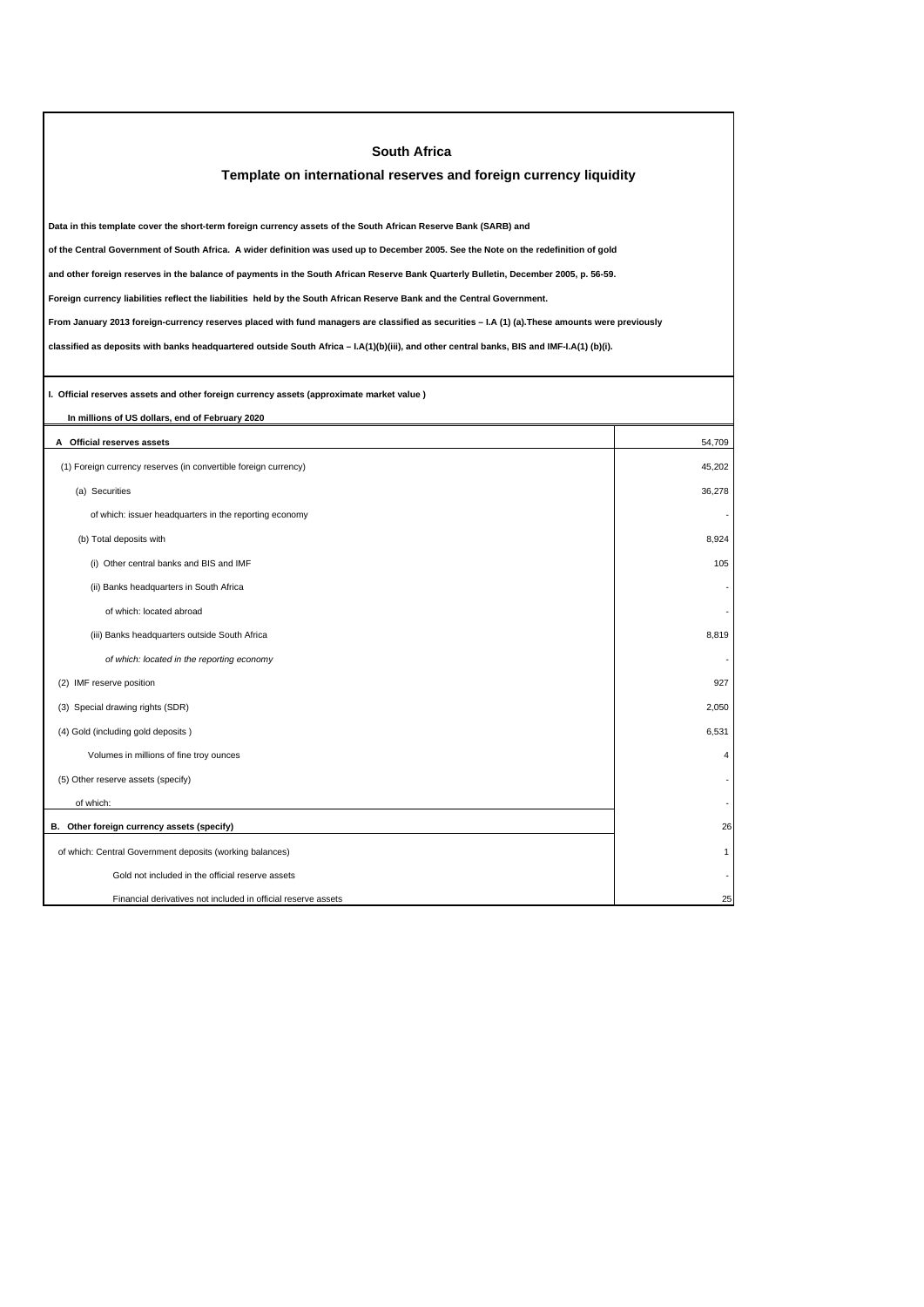| <b>South Africa</b>                                                                                                                             |                         |  |  |
|-------------------------------------------------------------------------------------------------------------------------------------------------|-------------------------|--|--|
| Template on international reserves and foreign currency liquidity                                                                               |                         |  |  |
|                                                                                                                                                 |                         |  |  |
| Data in this template cover the short-term foreign currency assets of the South African Reserve Bank (SARB) and                                 |                         |  |  |
| of the Central Government of South Africa. A wider definition was used up to December 2005. See the Note on the redefinition of gold            |                         |  |  |
| and other foreign reserves in the balance of payments in the South African Reserve Bank Quarterly Bulletin, December 2005, p. 56-59.            |                         |  |  |
| Foreign currency liabilities reflect the liabilities held by the South African Reserve Bank and the Central Government.                         |                         |  |  |
| From January 2013 foreign-currency reserves placed with fund managers are classified as securities - I.A (1) (a). These amounts were previously |                         |  |  |
| classified as deposits with banks headquartered outside South Africa - I.A(1)(b)(iii), and other central banks, BIS and IMF-I.A(1) (b)(i).      |                         |  |  |
|                                                                                                                                                 |                         |  |  |
| I. Official reserves assets and other foreign currency assets (approximate market value)                                                        |                         |  |  |
| In millions of US dollars, end of February 2020                                                                                                 |                         |  |  |
| A Official reserves assets                                                                                                                      | 54,709                  |  |  |
| (1) Foreign currency reserves (in convertible foreign currency)                                                                                 | 45.202                  |  |  |
| (a) Securities                                                                                                                                  | 36,278                  |  |  |
| of which: issuer headquarters in the reporting economy                                                                                          |                         |  |  |
| (b) Total deposits with                                                                                                                         | 8,924                   |  |  |
| (i) Other central banks and BIS and IMF                                                                                                         | 105                     |  |  |
| (ii) Banks headquarters in South Africa                                                                                                         |                         |  |  |
| of which: located abroad                                                                                                                        |                         |  |  |
| (iii) Banks headquarters outside South Africa                                                                                                   | 8,819                   |  |  |
| of which: located in the reporting economy                                                                                                      |                         |  |  |
| (2) IMF reserve position                                                                                                                        | 927                     |  |  |
| (3) Special drawing rights (SDR)                                                                                                                | 2,050                   |  |  |
| (4) Gold (including gold deposits)                                                                                                              | 6,531                   |  |  |
| Volumes in millions of fine troy ounces                                                                                                         | $\overline{\mathbf{4}}$ |  |  |
| (5) Other reserve assets (specify)                                                                                                              |                         |  |  |
| of which:                                                                                                                                       |                         |  |  |
| B. Other foreign currency assets (specify)                                                                                                      | 26                      |  |  |
| of which: Central Government deposits (working balances)                                                                                        | 1                       |  |  |
| Gold not included in the official reserve assets                                                                                                |                         |  |  |
| Financial derivatives not included in official reserve assets                                                                                   | 25                      |  |  |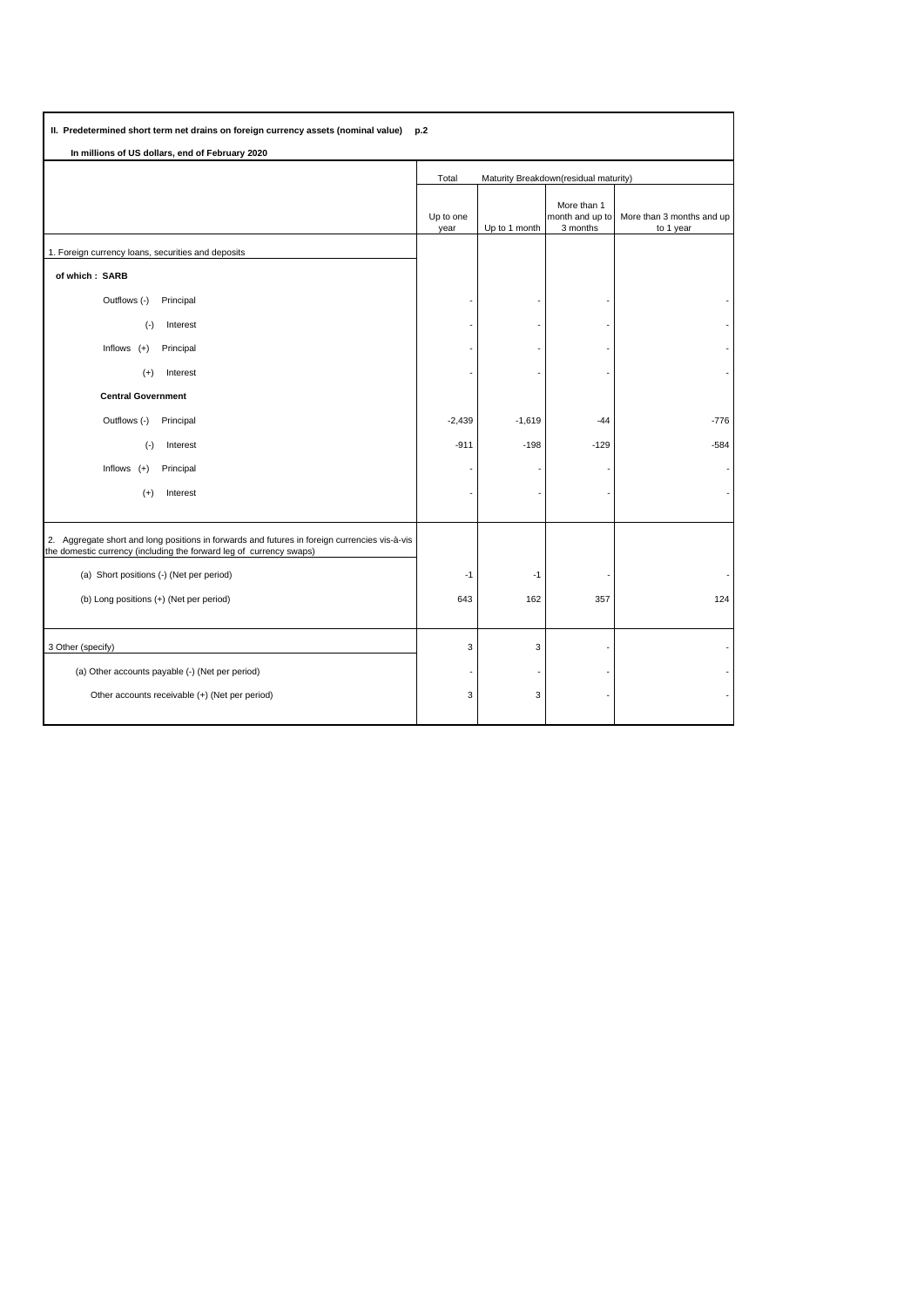| II. Predetermined short term net drains on foreign currency assets (nominal value)<br>p.2                                                                            |                                                |               |                                            |                                        |  |  |  |  |  |
|----------------------------------------------------------------------------------------------------------------------------------------------------------------------|------------------------------------------------|---------------|--------------------------------------------|----------------------------------------|--|--|--|--|--|
| In millions of US dollars, end of February 2020                                                                                                                      |                                                |               |                                            |                                        |  |  |  |  |  |
|                                                                                                                                                                      | Maturity Breakdown(residual maturity)<br>Total |               |                                            |                                        |  |  |  |  |  |
|                                                                                                                                                                      | Up to one<br>year                              | Up to 1 month | More than 1<br>month and up to<br>3 months | More than 3 months and up<br>to 1 year |  |  |  |  |  |
| 1. Foreign currency loans, securities and deposits                                                                                                                   |                                                |               |                                            |                                        |  |  |  |  |  |
| of which: SARB                                                                                                                                                       |                                                |               |                                            |                                        |  |  |  |  |  |
| Outflows (-)<br>Principal                                                                                                                                            |                                                |               |                                            |                                        |  |  |  |  |  |
| $(\cdot)$<br>Interest                                                                                                                                                |                                                |               |                                            |                                        |  |  |  |  |  |
| Inflows $(+)$<br>Principal                                                                                                                                           |                                                |               |                                            |                                        |  |  |  |  |  |
| Interest<br>$(+)$                                                                                                                                                    |                                                |               |                                            |                                        |  |  |  |  |  |
| <b>Central Government</b>                                                                                                                                            |                                                |               |                                            |                                        |  |  |  |  |  |
| Outflows (-)<br>Principal                                                                                                                                            | $-2,439$                                       | $-1,619$      | $-44$                                      | $-776$                                 |  |  |  |  |  |
| $(-)$<br>Interest                                                                                                                                                    | $-911$                                         | $-198$        | $-129$                                     | $-584$                                 |  |  |  |  |  |
| Inflows $(+)$<br>Principal                                                                                                                                           |                                                |               |                                            |                                        |  |  |  |  |  |
| $(+)$<br>Interest                                                                                                                                                    |                                                |               |                                            |                                        |  |  |  |  |  |
|                                                                                                                                                                      |                                                |               |                                            |                                        |  |  |  |  |  |
| 2. Aggregate short and long positions in forwards and futures in foreign currencies vis-à-vis<br>the domestic currency (including the forward leg of currency swaps) |                                                |               |                                            |                                        |  |  |  |  |  |
| (a) Short positions (-) (Net per period)                                                                                                                             | $-1$                                           | $-1$          |                                            |                                        |  |  |  |  |  |
| (b) Long positions (+) (Net per period)                                                                                                                              | 643                                            | 162           | 357                                        | 124                                    |  |  |  |  |  |
|                                                                                                                                                                      |                                                |               |                                            |                                        |  |  |  |  |  |
| 3 Other (specify)                                                                                                                                                    | 3                                              | 3             |                                            |                                        |  |  |  |  |  |
| (a) Other accounts payable (-) (Net per period)                                                                                                                      |                                                |               |                                            |                                        |  |  |  |  |  |
| Other accounts receivable (+) (Net per period)                                                                                                                       | 3                                              | 3             |                                            |                                        |  |  |  |  |  |
|                                                                                                                                                                      |                                                |               |                                            |                                        |  |  |  |  |  |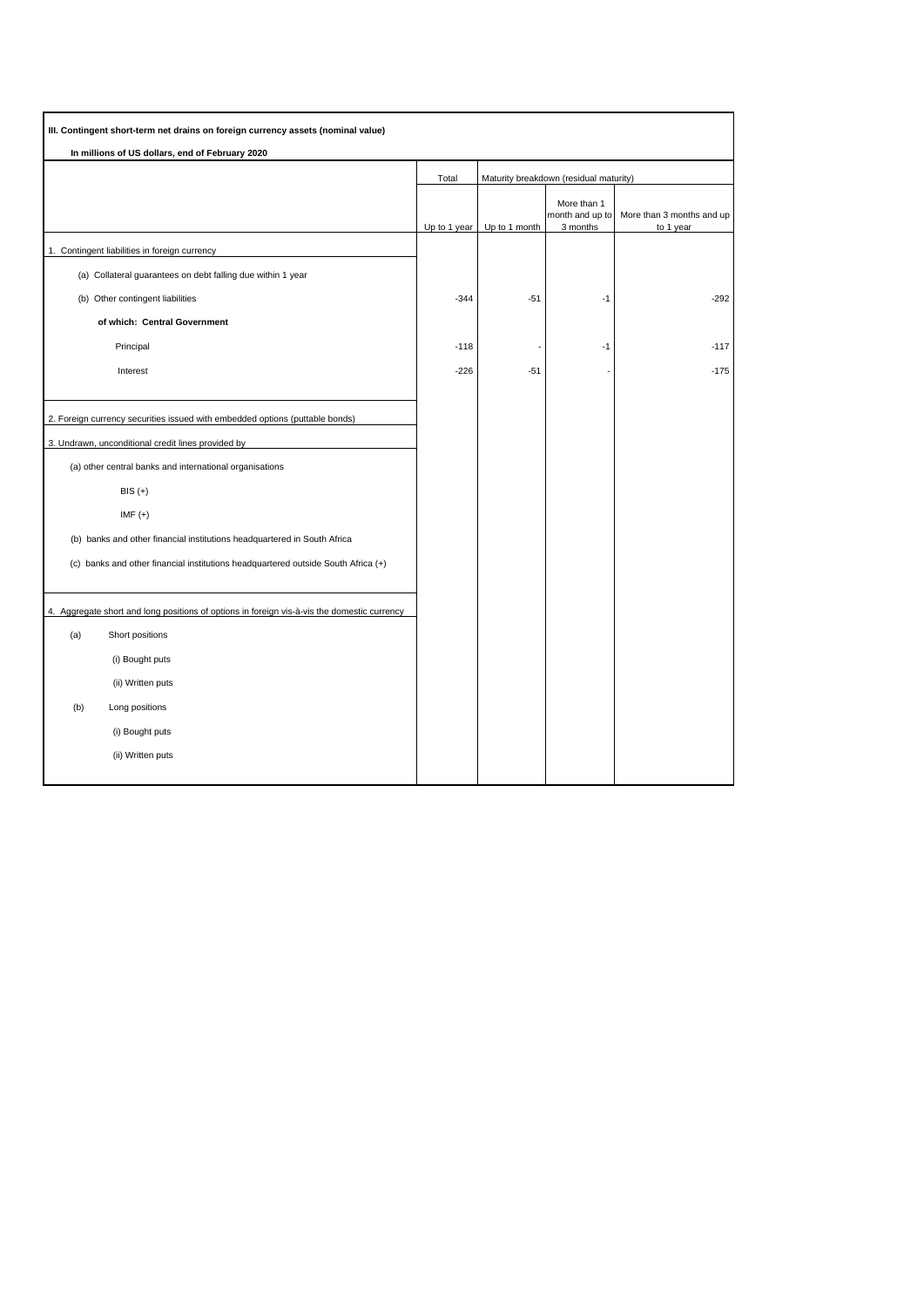| III. Contingent short-term net drains on foreign currency assets (nominal value)            |              |                                        |                                |                           |
|---------------------------------------------------------------------------------------------|--------------|----------------------------------------|--------------------------------|---------------------------|
| In millions of US dollars, end of February 2020                                             |              |                                        |                                |                           |
|                                                                                             | Total        | Maturity breakdown (residual maturity) |                                |                           |
|                                                                                             |              |                                        | More than 1<br>month and up to | More than 3 months and up |
| 1. Contingent liabilities in foreign currency                                               | Up to 1 year | Up to 1 month                          | 3 months                       | to 1 year                 |
| (a) Collateral guarantees on debt falling due within 1 year                                 |              |                                        |                                |                           |
| (b) Other contingent liabilities                                                            | $-344$       | $-51$                                  | -1                             | $-292$                    |
| of which: Central Government                                                                |              |                                        |                                |                           |
| Principal                                                                                   | $-118$       |                                        | $-1$                           | $-117$                    |
| Interest                                                                                    | $-226$       | $-51$                                  |                                | $-175$                    |
|                                                                                             |              |                                        |                                |                           |
| 2. Foreign currency securities issued with embedded options (puttable bonds)                |              |                                        |                                |                           |
| 3. Undrawn, unconditional credit lines provided by                                          |              |                                        |                                |                           |
| (a) other central banks and international organisations                                     |              |                                        |                                |                           |
| $BIS (+)$                                                                                   |              |                                        |                                |                           |
| $IMF (+)$                                                                                   |              |                                        |                                |                           |
| (b) banks and other financial institutions headquartered in South Africa                    |              |                                        |                                |                           |
| (c) banks and other financial institutions headquartered outside South Africa (+)           |              |                                        |                                |                           |
|                                                                                             |              |                                        |                                |                           |
| 4. Aggregate short and long positions of options in foreign vis-à-vis the domestic currency |              |                                        |                                |                           |
| (a)<br>Short positions                                                                      |              |                                        |                                |                           |
| (i) Bought puts                                                                             |              |                                        |                                |                           |
| (ii) Written puts                                                                           |              |                                        |                                |                           |
| (b)<br>Long positions                                                                       |              |                                        |                                |                           |
| (i) Bought puts                                                                             |              |                                        |                                |                           |
| (ii) Written puts                                                                           |              |                                        |                                |                           |
|                                                                                             |              |                                        |                                |                           |